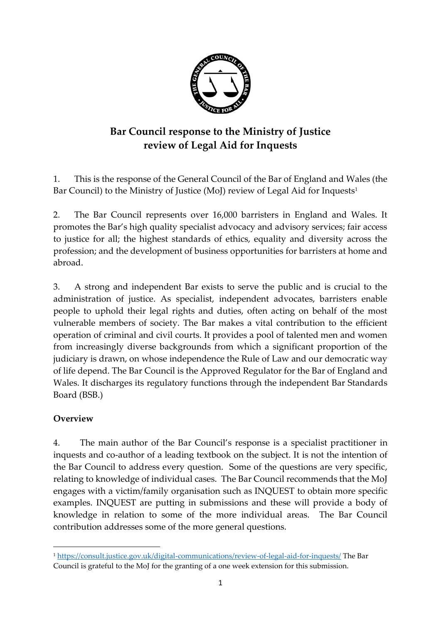

# **Bar Council response to the Ministry of Justice review of Legal Aid for Inquests**

1. This is the response of the General Council of the Bar of England and Wales (the Bar Council) to the Ministry of Justice (MoJ) review of Legal Aid for Inquests<sup>1</sup>

2. The Bar Council represents over 16,000 barristers in England and Wales. It promotes the Bar's high quality specialist advocacy and advisory services; fair access to justice for all; the highest standards of ethics, equality and diversity across the profession; and the development of business opportunities for barristers at home and abroad.

3. A strong and independent Bar exists to serve the public and is crucial to the administration of justice. As specialist, independent advocates, barristers enable people to uphold their legal rights and duties, often acting on behalf of the most vulnerable members of society. The Bar makes a vital contribution to the efficient operation of criminal and civil courts. It provides a pool of talented men and women from increasingly diverse backgrounds from which a significant proportion of the judiciary is drawn, on whose independence the Rule of Law and our democratic way of life depend. The Bar Council is the Approved Regulator for the Bar of England and Wales. It discharges its regulatory functions through the independent Bar Standards Board (BSB.)

#### **Overview**

**.** 

4. The main author of the Bar Council's response is a specialist practitioner in inquests and co-author of a leading textbook on the subject. It is not the intention of the Bar Council to address every question. Some of the questions are very specific, relating to knowledge of individual cases. The Bar Council recommends that the MoJ engages with a victim/family organisation such as INQUEST to obtain more specific examples. INQUEST are putting in submissions and these will provide a body of knowledge in relation to some of the more individual areas. The Bar Council contribution addresses some of the more general questions.

<sup>1</sup> <https://consult.justice.gov.uk/digital-communications/review-of-legal-aid-for-inquests/> The Bar Council is grateful to the MoJ for the granting of a one week extension for this submission.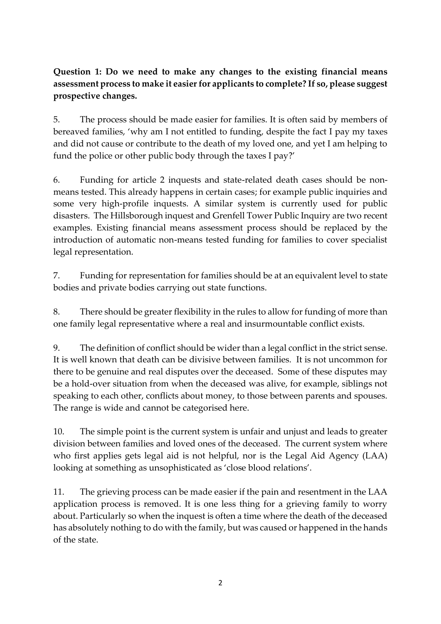## **Question 1: Do we need to make any changes to the existing financial means assessment process to make it easier for applicants to complete? If so, please suggest prospective changes.**

5. The process should be made easier for families. It is often said by members of bereaved families, 'why am I not entitled to funding, despite the fact I pay my taxes and did not cause or contribute to the death of my loved one, and yet I am helping to fund the police or other public body through the taxes I pay?'

6. Funding for article 2 inquests and state-related death cases should be nonmeans tested. This already happens in certain cases; for example public inquiries and some very high-profile inquests. A similar system is currently used for public disasters. The Hillsborough inquest and Grenfell Tower Public Inquiry are two recent examples. Existing financial means assessment process should be replaced by the introduction of automatic non-means tested funding for families to cover specialist legal representation.

7. Funding for representation for families should be at an equivalent level to state bodies and private bodies carrying out state functions.

8. There should be greater flexibility in the rules to allow for funding of more than one family legal representative where a real and insurmountable conflict exists.

9. The definition of conflict should be wider than a legal conflict in the strict sense. It is well known that death can be divisive between families. It is not uncommon for there to be genuine and real disputes over the deceased. Some of these disputes may be a hold-over situation from when the deceased was alive, for example, siblings not speaking to each other, conflicts about money, to those between parents and spouses. The range is wide and cannot be categorised here.

10. The simple point is the current system is unfair and unjust and leads to greater division between families and loved ones of the deceased. The current system where who first applies gets legal aid is not helpful, nor is the Legal Aid Agency (LAA) looking at something as unsophisticated as 'close blood relations'.

11. The grieving process can be made easier if the pain and resentment in the LAA application process is removed. It is one less thing for a grieving family to worry about. Particularly so when the inquest is often a time where the death of the deceased has absolutely nothing to do with the family, but was caused or happened in the hands of the state.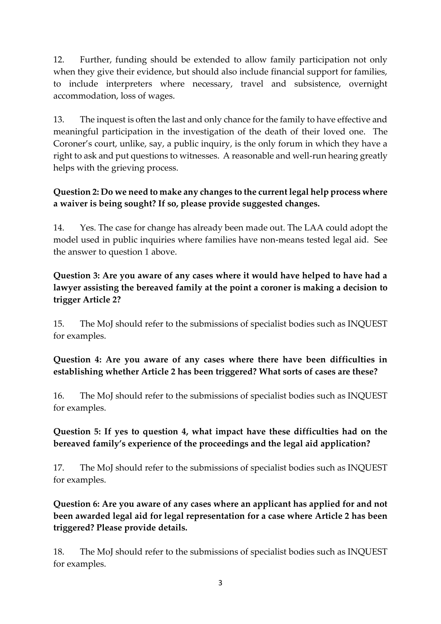12. Further, funding should be extended to allow family participation not only when they give their evidence, but should also include financial support for families, to include interpreters where necessary, travel and subsistence, overnight accommodation, loss of wages.

13. The inquest is often the last and only chance for the family to have effective and meaningful participation in the investigation of the death of their loved one. The Coroner's court, unlike, say, a public inquiry, is the only forum in which they have a right to ask and put questions to witnesses. A reasonable and well-run hearing greatly helps with the grieving process.

### **Question 2: Do we need to make any changes to the current legal help process where a waiver is being sought? If so, please provide suggested changes.**

14. Yes. The case for change has already been made out. The LAA could adopt the model used in public inquiries where families have non-means tested legal aid. See the answer to question 1 above.

### **Question 3: Are you aware of any cases where it would have helped to have had a lawyer assisting the bereaved family at the point a coroner is making a decision to trigger Article 2?**

15. The MoJ should refer to the submissions of specialist bodies such as INQUEST for examples.

### **Question 4: Are you aware of any cases where there have been difficulties in establishing whether Article 2 has been triggered? What sorts of cases are these?**

16. The MoJ should refer to the submissions of specialist bodies such as INQUEST for examples.

### **Question 5: If yes to question 4, what impact have these difficulties had on the bereaved family's experience of the proceedings and the legal aid application?**

17. The MoJ should refer to the submissions of specialist bodies such as INQUEST for examples.

## **Question 6: Are you aware of any cases where an applicant has applied for and not been awarded legal aid for legal representation for a case where Article 2 has been triggered? Please provide details.**

18. The MoJ should refer to the submissions of specialist bodies such as INQUEST for examples.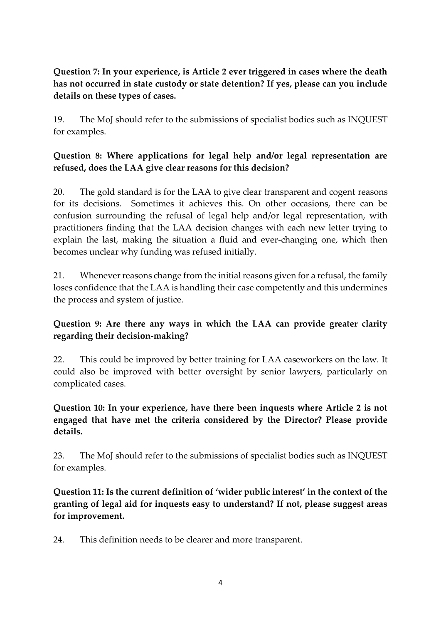## **Question 7: In your experience, is Article 2 ever triggered in cases where the death has not occurred in state custody or state detention? If yes, please can you include details on these types of cases.**

19. The MoJ should refer to the submissions of specialist bodies such as INQUEST for examples.

### **Question 8: Where applications for legal help and/or legal representation are refused, does the LAA give clear reasons for this decision?**

20. The gold standard is for the LAA to give clear transparent and cogent reasons for its decisions. Sometimes it achieves this. On other occasions, there can be confusion surrounding the refusal of legal help and/or legal representation, with practitioners finding that the LAA decision changes with each new letter trying to explain the last, making the situation a fluid and ever-changing one, which then becomes unclear why funding was refused initially.

21. Whenever reasons change from the initial reasons given for a refusal, the family loses confidence that the LAA is handling their case competently and this undermines the process and system of justice.

#### **Question 9: Are there any ways in which the LAA can provide greater clarity regarding their decision-making?**

22. This could be improved by better training for LAA caseworkers on the law. It could also be improved with better oversight by senior lawyers, particularly on complicated cases.

**Question 10: In your experience, have there been inquests where Article 2 is not engaged that have met the criteria considered by the Director? Please provide details.** 

23. The MoJ should refer to the submissions of specialist bodies such as INQUEST for examples.

**Question 11: Is the current definition of 'wider public interest' in the context of the granting of legal aid for inquests easy to understand? If not, please suggest areas for improvement.** 

24. This definition needs to be clearer and more transparent.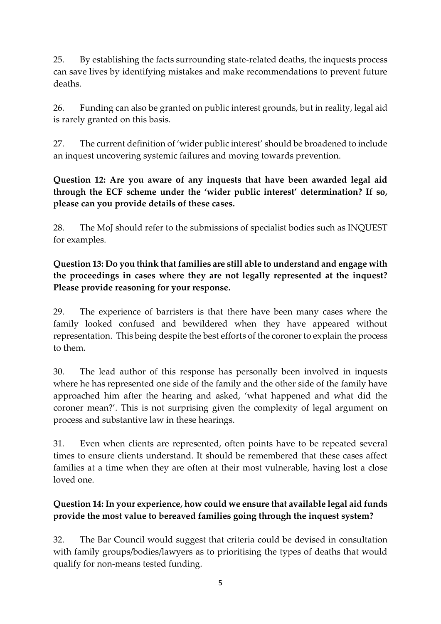25. By establishing the facts surrounding state-related deaths, the inquests process can save lives by identifying mistakes and make recommendations to prevent future deaths.

26. Funding can also be granted on public interest grounds, but in reality, legal aid is rarely granted on this basis.

27. The current definition of 'wider public interest' should be broadened to include an inquest uncovering systemic failures and moving towards prevention.

**Question 12: Are you aware of any inquests that have been awarded legal aid through the ECF scheme under the 'wider public interest' determination? If so, please can you provide details of these cases.** 

28. The MoJ should refer to the submissions of specialist bodies such as INQUEST for examples.

**Question 13: Do you think that families are still able to understand and engage with the proceedings in cases where they are not legally represented at the inquest? Please provide reasoning for your response.**

29. The experience of barristers is that there have been many cases where the family looked confused and bewildered when they have appeared without representation. This being despite the best efforts of the coroner to explain the process to them.

30. The lead author of this response has personally been involved in inquests where he has represented one side of the family and the other side of the family have approached him after the hearing and asked, 'what happened and what did the coroner mean?'. This is not surprising given the complexity of legal argument on process and substantive law in these hearings.

31. Even when clients are represented, often points have to be repeated several times to ensure clients understand. It should be remembered that these cases affect families at a time when they are often at their most vulnerable, having lost a close loved one.

# **Question 14: In your experience, how could we ensure that available legal aid funds provide the most value to bereaved families going through the inquest system?**

32. The Bar Council would suggest that criteria could be devised in consultation with family groups/bodies/lawyers as to prioritising the types of deaths that would qualify for non-means tested funding.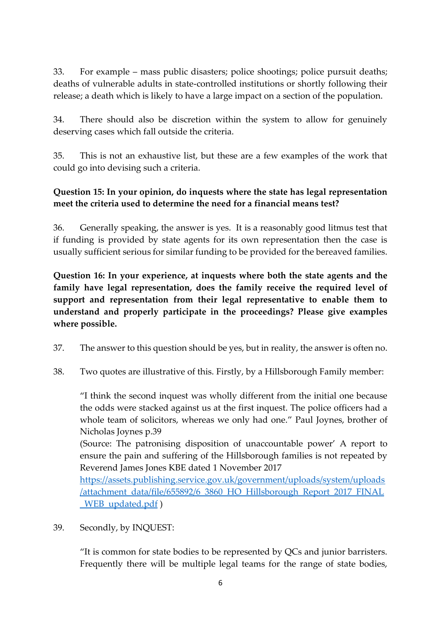33. For example – mass public disasters; police shootings; police pursuit deaths; deaths of vulnerable adults in state-controlled institutions or shortly following their release; a death which is likely to have a large impact on a section of the population.

34. There should also be discretion within the system to allow for genuinely deserving cases which fall outside the criteria.

35. This is not an exhaustive list, but these are a few examples of the work that could go into devising such a criteria.

### **Question 15: In your opinion, do inquests where the state has legal representation meet the criteria used to determine the need for a financial means test?**

36. Generally speaking, the answer is yes. It is a reasonably good litmus test that if funding is provided by state agents for its own representation then the case is usually sufficient serious for similar funding to be provided for the bereaved families.

**Question 16: In your experience, at inquests where both the state agents and the family have legal representation, does the family receive the required level of support and representation from their legal representative to enable them to understand and properly participate in the proceedings? Please give examples where possible.**

- 37. The answer to this question should be yes, but in reality, the answer is often no.
- 38. Two quotes are illustrative of this. Firstly, by a Hillsborough Family member:

"I think the second inquest was wholly different from the initial one because the odds were stacked against us at the first inquest. The police officers had a whole team of solicitors, whereas we only had one." Paul Joynes, brother of Nicholas Joynes p.39

(Source: The patronising disposition of unaccountable power' A report to ensure the pain and suffering of the Hillsborough families is not repeated by Reverend James Jones KBE dated 1 November 2017

[https://assets.publishing.service.gov.uk/government/uploads/system/uploads](https://assets.publishing.service.gov.uk/government/uploads/system/uploads/attachment_data/file/655892/6_3860_HO_Hillsborough_Report_2017_FINAL_WEB_updated.pdf) [/attachment\\_data/file/655892/6\\_3860\\_HO\\_Hillsborough\\_Report\\_2017\\_FINAL](https://assets.publishing.service.gov.uk/government/uploads/system/uploads/attachment_data/file/655892/6_3860_HO_Hillsborough_Report_2017_FINAL_WEB_updated.pdf) [\\_WEB\\_updated.pdf](https://assets.publishing.service.gov.uk/government/uploads/system/uploads/attachment_data/file/655892/6_3860_HO_Hillsborough_Report_2017_FINAL_WEB_updated.pdf) )

39. Secondly, by INQUEST:

"It is common for state bodies to be represented by QCs and junior barristers. Frequently there will be multiple legal teams for the range of state bodies,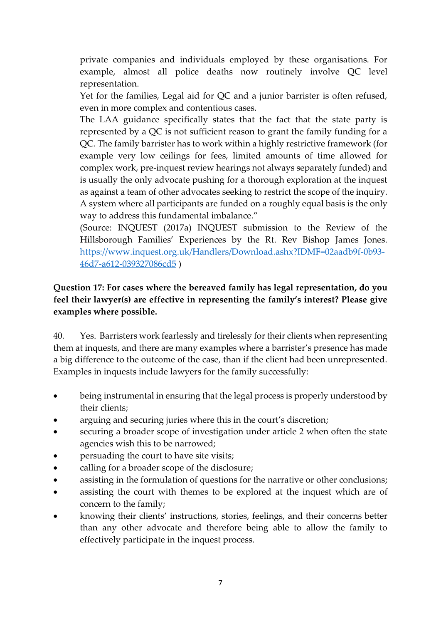private companies and individuals employed by these organisations. For example, almost all police deaths now routinely involve QC level representation.

Yet for the families, Legal aid for QC and a junior barrister is often refused, even in more complex and contentious cases.

The LAA guidance specifically states that the fact that the state party is represented by a QC is not sufficient reason to grant the family funding for a QC. The family barrister has to work within a highly restrictive framework (for example very low ceilings for fees, limited amounts of time allowed for complex work, pre-inquest review hearings not always separately funded) and is usually the only advocate pushing for a thorough exploration at the inquest as against a team of other advocates seeking to restrict the scope of the inquiry. A system where all participants are funded on a roughly equal basis is the only way to address this fundamental imbalance."

(Source: INQUEST (2017a) INQUEST submission to the Review of the Hillsborough Families' Experiences by the Rt. Rev Bishop James Jones. [https://www.inquest.org.uk/Handlers/Download.ashx?IDMF=02aadb9f-0b93-](https://www.inquest.org.uk/Handlers/Download.ashx?IDMF=02aadb9f-0b93-46d7-a612-039327086cd5) [46d7-a612-039327086cd5](https://www.inquest.org.uk/Handlers/Download.ashx?IDMF=02aadb9f-0b93-46d7-a612-039327086cd5) )

### **Question 17: For cases where the bereaved family has legal representation, do you feel their lawyer(s) are effective in representing the family's interest? Please give examples where possible.**

40. Yes. Barristers work fearlessly and tirelessly for their clients when representing them at inquests, and there are many examples where a barrister's presence has made a big difference to the outcome of the case, than if the client had been unrepresented. Examples in inquests include lawyers for the family successfully:

- being instrumental in ensuring that the legal process is properly understood by their clients;
- arguing and securing juries where this in the court's discretion;
- securing a broader scope of investigation under article 2 when often the state agencies wish this to be narrowed;
- persuading the court to have site visits;
- calling for a broader scope of the disclosure;
- assisting in the formulation of questions for the narrative or other conclusions;
- assisting the court with themes to be explored at the inquest which are of concern to the family;
- knowing their clients' instructions, stories, feelings, and their concerns better than any other advocate and therefore being able to allow the family to effectively participate in the inquest process.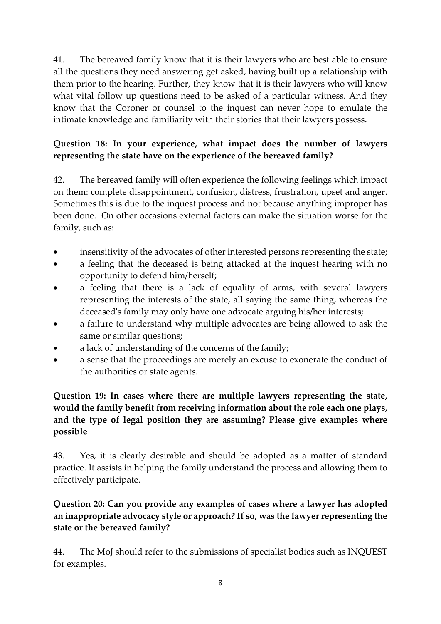41. The bereaved family know that it is their lawyers who are best able to ensure all the questions they need answering get asked, having built up a relationship with them prior to the hearing. Further, they know that it is their lawyers who will know what vital follow up questions need to be asked of a particular witness. And they know that the Coroner or counsel to the inquest can never hope to emulate the intimate knowledge and familiarity with their stories that their lawyers possess.

# **Question 18: In your experience, what impact does the number of lawyers representing the state have on the experience of the bereaved family?**

42. The bereaved family will often experience the following feelings which impact on them: complete disappointment, confusion, distress, frustration, upset and anger. Sometimes this is due to the inquest process and not because anything improper has been done. On other occasions external factors can make the situation worse for the family, such as:

- insensitivity of the advocates of other interested persons representing the state;
- a feeling that the deceased is being attacked at the inquest hearing with no opportunity to defend him/herself;
- a feeling that there is a lack of equality of arms, with several lawyers representing the interests of the state, all saying the same thing, whereas the deceased's family may only have one advocate arguing his/her interests;
- a failure to understand why multiple advocates are being allowed to ask the same or similar questions;
- a lack of understanding of the concerns of the family;
- a sense that the proceedings are merely an excuse to exonerate the conduct of the authorities or state agents.

### **Question 19: In cases where there are multiple lawyers representing the state, would the family benefit from receiving information about the role each one plays, and the type of legal position they are assuming? Please give examples where possible**

43. Yes, it is clearly desirable and should be adopted as a matter of standard practice. It assists in helping the family understand the process and allowing them to effectively participate.

## **Question 20: Can you provide any examples of cases where a lawyer has adopted an inappropriate advocacy style or approach? If so, was the lawyer representing the state or the bereaved family?**

44. The MoJ should refer to the submissions of specialist bodies such as INQUEST for examples.